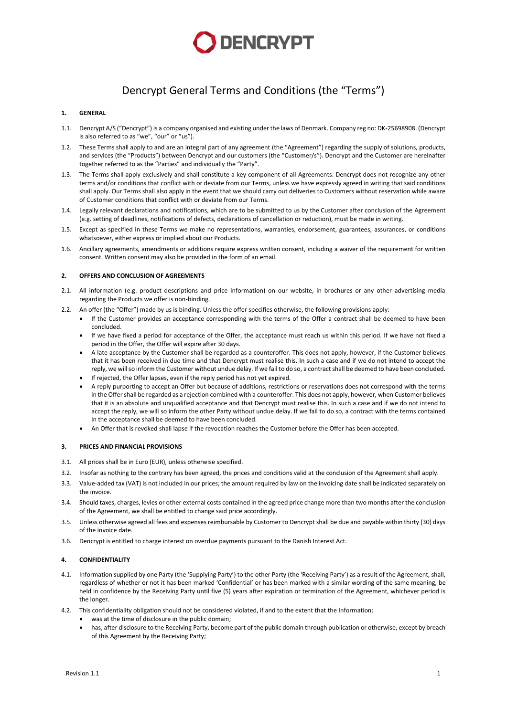

# Dencrypt General Terms and Conditions (the "Terms")

#### **1. GENERAL**

- 1.1. Dencrypt A/S ("Dencrypt") is a company organised and existing under the laws of Denmark. Company reg no: DK-25698908. (Dencrypt is also referred to as "we", "our" or "us").
- 1.2. These Terms shall apply to and are an integral part of any agreement (the "Agreement") regarding the supply of solutions, products, and services (the "Products") between Dencrypt and our customers (the "Customer/s"). Dencrypt and the Customer are hereinafter together referred to as the "Parties" and individually the "Party".
- 1.3. The Terms shall apply exclusively and shall constitute a key component of all Agreements. Dencrypt does not recognize any other terms and/or conditions that conflict with or deviate from our Terms, unless we have expressly agreed in writing that said conditions shall apply. Our Terms shall also apply in the event that we should carry out deliveries to Customers without reservation while aware of Customer conditions that conflict with or deviate from our Terms.
- 1.4. Legally relevant declarations and notifications, which are to be submitted to us by the Customer after conclusion of the Agreement (e.g. setting of deadlines, notifications of defects, declarations of cancellation or reduction), must be made in writing.
- 1.5. Except as specified in these Terms we make no representations, warranties, endorsement, guarantees, assurances, or conditions whatsoever, either express or implied about our Products.
- 1.6. Ancillary agreements, amendments or additions require express written consent, including a waiver of the requirement for written consent. Written consent may also be provided in the form of an email.

### **2. OFFERS AND CONCLUSION OF AGREEMENTS**

- 2.1. All information (e.g. product descriptions and price information) on our website, in brochures or any other advertising media regarding the Products we offer is non-binding.
- 2.2. An offer (the "Offer") made by us is binding. Unless the offer specifies otherwise, the following provisions apply:
	- If the Customer provides an acceptance corresponding with the terms of the Offer a contract shall be deemed to have been concluded.
	- If we have fixed a period for acceptance of the Offer, the acceptance must reach us within this period. If we have not fixed a period in the Offer, the Offer will expire after 30 days.
	- A late acceptance by the Customer shall be regarded as a counteroffer. This does not apply, however, if the Customer believes that it has been received in due time and that Dencrypt must realise this. In such a case and if we do not intend to accept the reply, we will so inform the Customer without undue delay. If we fail to do so, a contract shall be deemed to have been concluded.
	- If rejected, the Offer lapses, even if the reply period has not yet expired.
	- A reply purporting to accept an Offer but because of additions, restrictions or reservations does not correspond with the terms in the Offer shall be regarded as a rejection combined with a counteroffer. This does not apply, however, when Customer believes that it is an absolute and unqualified acceptance and that Dencrypt must realise this. In such a case and if we do not intend to accept the reply, we will so inform the other Party without undue delay. If we fail to do so, a contract with the terms contained in the acceptance shall be deemed to have been concluded.
	- An Offer that is revoked shall lapse if the revocation reaches the Customer before the Offer has been accepted.

#### **3. PRICES AND FINANCIAL PROVISIONS**

- 3.1. All prices shall be in Euro (EUR), unless otherwise specified.
- 3.2. Insofar as nothing to the contrary has been agreed, the prices and conditions valid at the conclusion of the Agreement shall apply.
- 3.3. Value-added tax (VAT) is not included in our prices; the amount required by law on the invoicing date shall be indicated separately on the invoice.
- 3.4. Should taxes, charges, levies or other external costs contained in the agreed price change more than two months after the conclusion of the Agreement, we shall be entitled to change said price accordingly.
- 3.5. Unless otherwise agreed all fees and expenses reimbursable by Customer to Dencryptshall be due and payable within thirty (30) days of the invoice date.
- <span id="page-0-0"></span>3.6. Dencrypt is entitled to charge interest on overdue payments pursuant to the Danish Interest Act.

#### **4. CONFIDENTIALITY**

- 4.1. Information supplied by one Party (the 'Supplying Party') to the other Party (the 'Receiving Party') as a result of the Agreement, shall, regardless of whether or not it has been marked 'Confidential' or has been marked with a similar wording of the same meaning, be held in confidence by the Receiving Party until five (5) years after expiration or termination of the Agreement, whichever period is the longer.
- 4.2. This confidentiality obligation should not be considered violated, if and to the extent that the Information:
	- was at the time of disclosure in the public domain;
		- has, after disclosure to the Receiving Party, become part of the public domain through publication or otherwise, except by breach of this Agreement by the Receiving Party;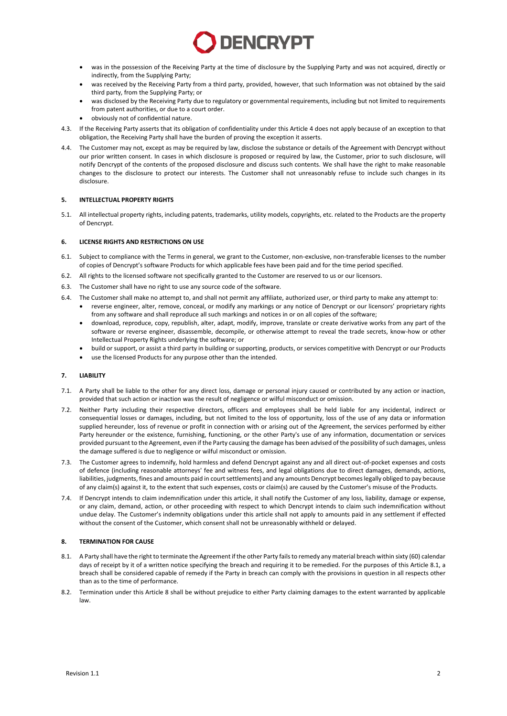

- was in the possession of the Receiving Party at the time of disclosure by the Supplying Party and was not acquired, directly or indirectly, from the Supplying Party;
- was received by the Receiving Party from a third party, provided, however, that such Information was not obtained by the said third party, from the Supplying Party; or
- was disclosed by the Receiving Party due to regulatory or governmental requirements, including but not limited to requirements from patent authorities, or due to a court order.
- obviously not of confidential nature.
- 4.3. If the Receiving Party asserts that its obligation of confidentiality under this Article [4](#page-0-0) does not apply because of an exception to that obligation, the Receiving Party shall have the burden of proving the exception it asserts.
- 4.4. The Customer may not, except as may be required by law, disclose the substance or details of the Agreement with Dencrypt without our prior written consent. In cases in which disclosure is proposed or required by law, the Customer, prior to such disclosure, will notify Dencrypt of the contents of the proposed disclosure and discuss such contents. We shall have the right to make reasonable changes to the disclosure to protect our interests. The Customer shall not unreasonably refuse to include such changes in its disclosure.

## **5. INTELLECTUAL PROPERTY RIGHTS**

5.1. All intellectual property rights, including patents, trademarks, utility models, copyrights, etc. related to the Products are the property of Dencrypt.

#### **6. LICENSE RIGHTS AND RESTRICTIONS ON USE**

- 6.1. Subject to compliance with the Terms in general, we grant to the Customer, non-exclusive, non-transferable licenses to the number of copies of Dencrypt's software Products for which applicable fees have been paid and for the time period specified.
- 6.2. All rights to the licensed software not specifically granted to the Customer are reserved to us or our licensors.
- 6.3. The Customer shall have no right to use any source code of the software.
- 6.4. The Customer shall make no attempt to, and shall not permit any affiliate, authorized user, or third party to make any attempt to:
	- reverse engineer, alter, remove, conceal, or modify any markings or any notice of Dencrypt or our licensors' proprietary rights from any software and shall reproduce all such markings and notices in or on all copies of the software;
		- download, reproduce, copy, republish, alter, adapt, modify, improve, translate or create derivative works from any part of the software or reverse engineer, disassemble, decompile, or otherwise attempt to reveal the trade secrets, know-how or other Intellectual Property Rights underlying the software; or
		- build or support, or assist a third party in building or supporting, products, or services competitive with Dencrypt or our Products
		- use the licensed Products for any purpose other than the intended.

#### **7. LIABILITY**

- 7.1. A Party shall be liable to the other for any direct loss, damage or personal injury caused or contributed by any action or inaction, provided that such action or inaction was the result of negligence or wilful misconduct or omission.
- 7.2. Neither Party including their respective directors, officers and employees shall be held liable for any incidental, indirect or consequential losses or damages, including, but not limited to the loss of opportunity, loss of the use of any data or information supplied hereunder, loss of revenue or profit in connection with or arising out of the Agreement, the services performed by either Party hereunder or the existence, furnishing, functioning, or the other Party's use of any information, documentation or services provided pursuant to the Agreement, even if the Party causing the damage has been advised of the possibility of such damages, unless the damage suffered is due to negligence or wilful misconduct or omission.
- 7.3. The Customer agrees to indemnify, hold harmless and defend Dencrypt against any and all direct out-of-pocket expenses and costs of defence (including reasonable attorneys' fee and witness fees, and legal obligations due to direct damages, demands, actions, liabilities, judgments, fines and amounts paid in court settlements) and any amounts Dencrypt becomes legally obliged to pay because of any claim(s) against it, to the extent that such expenses, costs or claim(s) are caused by the Customer's misuse of the Products.
- 7.4. If Dencrypt intends to claim indemnification under this article, it shall notify the Customer of any loss, liability, damage or expense, or any claim, demand, action, or other proceeding with respect to which Dencrypt intends to claim such indemnification without undue delay. The Customer's indemnity obligations under this article shall not apply to amounts paid in any settlement if effected without the consent of the Customer, which consent shall not be unreasonably withheld or delayed.

#### <span id="page-1-1"></span>**8. TERMINATION FOR CAUSE**

- <span id="page-1-0"></span>8.1. A Party shall have the right to terminate the Agreement if the other Party fails to remedy any material breach within sixty (60) calendar days of receipt by it of a written notice specifying the breach and requiring it to be remedied. For the purposes of this Article [8.1,](#page-1-0) a breach shall be considered capable of remedy if the Party in breach can comply with the provisions in question in all respects other than as to the time of performance.
- 8.2. Termination under this Article [8](#page-1-1) shall be without prejudice to either Party claiming damages to the extent warranted by applicable law.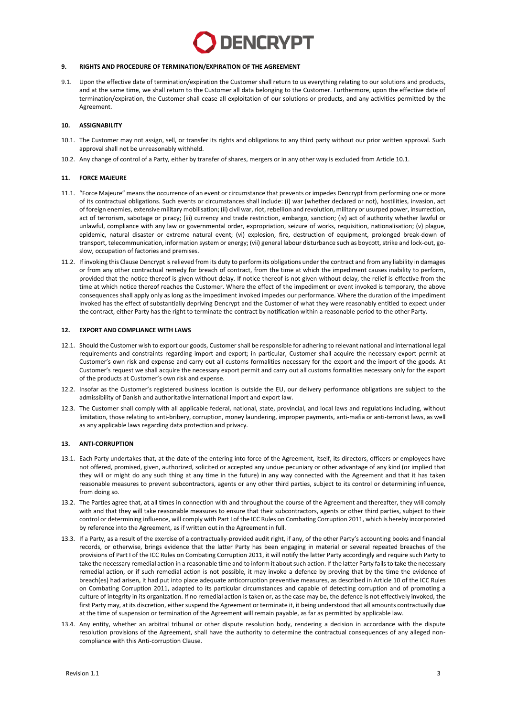# **DENCRYPT**

#### **9. RIGHTS AND PROCEDURE OF TERMINATION/EXPIRATION OF THE AGREEMENT**

9.1. Upon the effective date of termination/expiration the Customer shall return to us everything relating to our solutions and products, and at the same time, we shall return to the Customer all data belonging to the Customer. Furthermore, upon the effective date of termination/expiration, the Customer shall cease all exploitation of our solutions or products, and any activities permitted by the Agreement.

#### **10. ASSIGNABILITY**

- <span id="page-2-0"></span>10.1. The Customer may not assign, sell, or transfer its rights and obligations to any third party without our prior written approval. Such approval shall not be unreasonably withheld.
- 10.2. Any change of control of a Party, either by transfer of shares, mergers or in any other way is excluded from Articl[e 10.1.](#page-2-0)

#### **11. FORCE MAJEURE**

- 11.1. "Force Majeure" means the occurrence of an event or circumstance that prevents or impedes Dencrypt from performing one or more of its contractual obligations. Such events or circumstances shall include: (i) war (whether declared or not), hostilities, invasion, act of foreign enemies, extensive military mobilisation; (ii) civil war, riot, rebellion and revolution, military or usurped power, insurrection, act of terrorism, sabotage or piracy; (iii) currency and trade restriction, embargo, sanction; (iv) act of authority whether lawful or unlawful, compliance with any law or governmental order, expropriation, seizure of works, requisition, nationalisation; (v) plague, epidemic, natural disaster or extreme natural event; (vi) explosion, fire, destruction of equipment, prolonged break-down of transport, telecommunication, information system or energy; (vii) general labour disturbance such as boycott, strike and lock-out, goslow, occupation of factories and premises.
- 11.2. If invoking this Clause Dencrypt is relieved from its duty to perform its obligations under the contract and from any liability in damages or from any other contractual remedy for breach of contract, from the time at which the impediment causes inability to perform, provided that the notice thereof is given without delay. If notice thereof is not given without delay, the relief is effective from the time at which notice thereof reaches the Customer. Where the effect of the impediment or event invoked is temporary, the above consequences shall apply only as long as the impediment invoked impedes our performance. Where the duration of the impediment invoked has the effect of substantially depriving Dencrypt and the Customer of what they were reasonably entitled to expect under the contract, either Party has the right to terminate the contract by notification within a reasonable period to the other Party.

#### **12. EXPORT AND COMPLIANCE WITH LAWS**

- 12.1. Should the Customer wish to export our goods, Customer shall be responsible for adhering to relevant national and international legal requirements and constraints regarding import and export; in particular, Customer shall acquire the necessary export permit at Customer's own risk and expense and carry out all customs formalities necessary for the export and the import of the goods. At Customer's request we shall acquire the necessary export permit and carry out all customs formalities necessary only for the export of the products at Customer's own risk and expense.
- 12.2. Insofar as the Customer's registered business location is outside the EU, our delivery performance obligations are subject to the admissibility of Danish and authoritative international import and export law.
- 12.3. The Customer shall comply with all applicable federal, national, state, provincial, and local laws and regulations including, without limitation, those relating to anti-bribery, corruption, money laundering, improper payments, anti-mafia or anti-terrorist laws, as well as any applicable laws regarding data protection and privacy.

#### **13. ANTI-CORRUPTION**

- 13.1. Each Party undertakes that, at the date of the entering into force of the Agreement, itself, its directors, officers or employees have not offered, promised, given, authorized, solicited or accepted any undue pecuniary or other advantage of any kind (or implied that they will or might do any such thing at any time in the future) in any way connected with the Agreement and that it has taken reasonable measures to prevent subcontractors, agents or any other third parties, subject to its control or determining influence, from doing so.
- 13.2. The Parties agree that, at all times in connection with and throughout the course of the Agreement and thereafter, they will comply with and that they will take reasonable measures to ensure that their subcontractors, agents or other third parties, subject to their control or determining influence, will comply with Part I of the ICC Rules on Combating Corruption 2011, which is hereby incorporated by reference into the Agreement, as if written out in the Agreement in full.
- 13.3. If a Party, as a result of the exercise of a contractually-provided audit right, if any, of the other Party's accounting books and financial records, or otherwise, brings evidence that the latter Party has been engaging in material or several repeated breaches of the provisions of Part I of the ICC Rules on Combating Corruption 2011, it will notify the latter Party accordingly and require such Party to take the necessary remedial action in a reasonable time and to inform it about such action. If the latter Party fails to take the necessary remedial action, or if such remedial action is not possible, it may invoke a defence by proving that by the time the evidence of breach(es) had arisen, it had put into place adequate anticorruption preventive measures, as described in Article 10 of the ICC Rules on Combating Corruption 2011, adapted to its particular circumstances and capable of detecting corruption and of promoting a culture of integrity in its organization. If no remedial action is taken or, as the case may be, the defence is not effectively invoked, the first Party may, at its discretion, either suspend the Agreement or terminate it, it being understood that all amounts contractually due at the time of suspension or termination of the Agreement will remain payable, as far as permitted by applicable law.
- 13.4. Any entity, whether an arbitral tribunal or other dispute resolution body, rendering a decision in accordance with the dispute resolution provisions of the Agreement, shall have the authority to determine the contractual consequences of any alleged noncompliance with this Anti-corruption Clause.